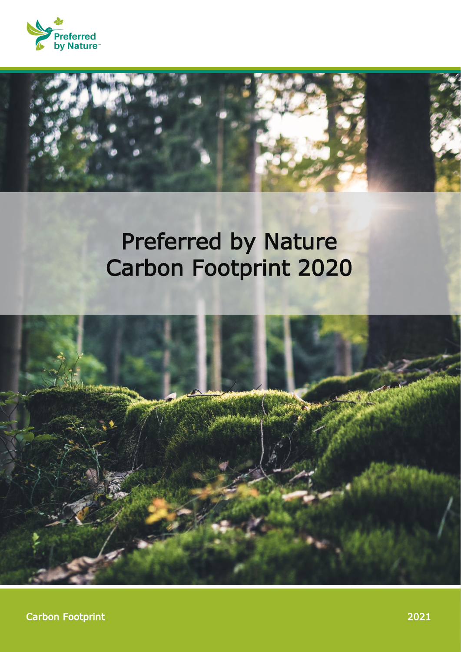



## Preferred by Nature Carbon Footprint 2020

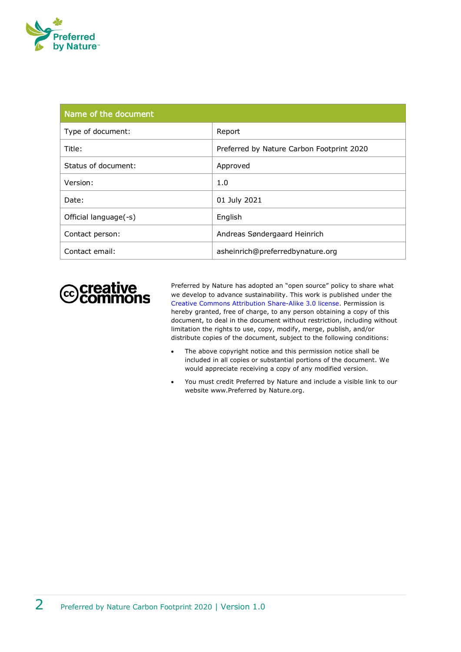

| Name of the document  |                                           |
|-----------------------|-------------------------------------------|
| Type of document:     | Report                                    |
| Title:                | Preferred by Nature Carbon Footprint 2020 |
| Status of document:   | Approved                                  |
| Version:              | 1.0                                       |
| Date:                 | 01 July 2021                              |
| Official language(-s) | English                                   |
| Contact person:       | Andreas Søndergaard Heinrich              |
| Contact email:        | asheinrich@preferredbynature.org          |



Preferred by Nature has adopted an "open source" policy to share what we develop to advance sustainability. This work is published under the [Creative Commons Attribution](http://creativecommons.org/licenses/by/3.0/) Share-Alike 3.0 license. Permission is hereby granted, free of charge, to any person obtaining a copy of this document, to deal in the document without restriction, including without limitation the rights to use, copy, modify, merge, publish, and/or distribute copies of the document, subject to the following conditions:

- The above copyright notice and this permission notice shall be included in all copies or substantial portions of the document. We would appreciate receiving a copy of any modified version.
- You must credit Preferred by Nature and include a visible link to our website www.Preferred by Nature.org.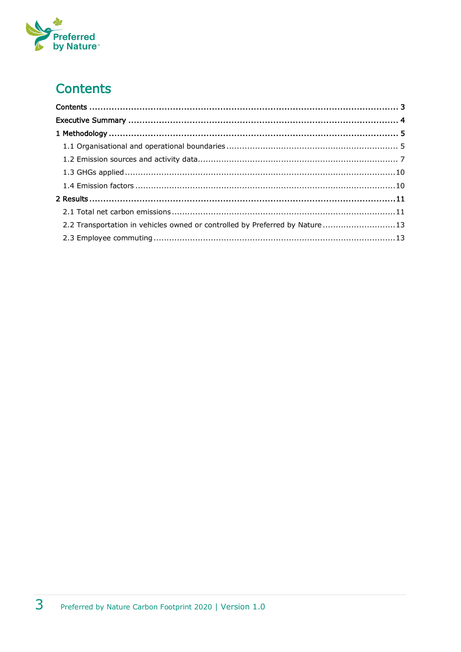# Preferred<br>by Nature

## <span id="page-2-0"></span>**Contents**

| 2.2 Transportation in vehicles owned or controlled by Preferred by Nature 13 |  |
|------------------------------------------------------------------------------|--|
|                                                                              |  |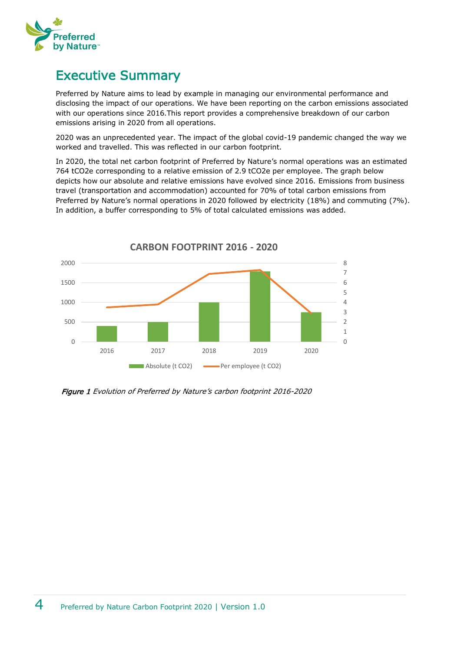

### <span id="page-3-0"></span>Executive Summary

Preferred by Nature aims to lead by example in managing our environmental performance and disclosing the impact of our operations. We have been reporting on the carbon emissions associated with our operations since 2016.This report provides a comprehensive breakdown of our carbon emissions arising in 2020 from all operations.

2020 was an unprecedented year. The impact of the global covid-19 pandemic changed the way we worked and travelled. This was reflected in our carbon footprint.

In 2020, the total net carbon footprint of Preferred by Nature's normal operations was an estimated 764 tCO2e corresponding to a relative emission of 2.9 tCO2e per employee. The graph below depicts how our absolute and relative emissions have evolved since 2016. Emissions from business travel (transportation and accommodation) accounted for 70% of total carbon emissions from Preferred by Nature's normal operations in 2020 followed by electricity (18%) and commuting (7%). In addition, a buffer corresponding to 5% of total calculated emissions was added.



Figure 1 Evolution of Preferred by Nature's carbon footprint 2016-2020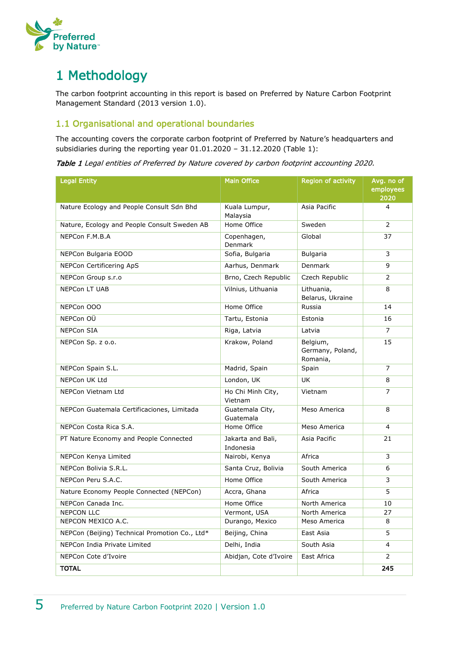

## <span id="page-4-0"></span>1 Methodology

The carbon footprint accounting in this report is based on Preferred by Nature Carbon Footprint Management Standard (2013 version 1.0).

#### <span id="page-4-1"></span>1.1 Organisational and operational boundaries

The accounting covers the corporate carbon footprint of Preferred by Nature's headquarters and subsidiaries during the reporting year 01.01.2020 – 31.12.2020 [\(Table 1\)](#page-4-2):

<span id="page-4-2"></span>Table 1 Legal entities of Preferred by Nature covered by carbon footprint accounting 2020.

| <b>Legal Entity</b>                            | <b>Main Office</b>             | <b>Region of activity</b>                | Avg. no of<br>employees<br>2020 |
|------------------------------------------------|--------------------------------|------------------------------------------|---------------------------------|
| Nature Ecology and People Consult Sdn Bhd      | Kuala Lumpur,<br>Malaysia      | Asia Pacific                             | $\overline{4}$                  |
| Nature, Ecology and People Consult Sweden AB   | Home Office                    | Sweden                                   | $\overline{2}$                  |
| NEPCon F.M.B.A                                 | Copenhagen,<br><b>Denmark</b>  | Global                                   |                                 |
| NEPCon Bulgaria EOOD                           | Sofia, Bulgaria                | Bulgaria                                 | 3                               |
| NEPCon Certificering ApS                       | Aarhus, Denmark                | Denmark                                  | 9                               |
| NEPCon Group s.r.o                             | Brno, Czech Republic           | Czech Republic                           | $\overline{2}$                  |
| <b>NEPCon LT UAB</b>                           | Vilnius, Lithuania             | Lithuania,<br>Belarus, Ukraine           | 8                               |
| NEPCon OOO                                     | Home Office                    | Russia                                   | 14                              |
| NEPCon OÜ                                      | Tartu, Estonia                 | Estonia                                  | 16                              |
| <b>NEPCon SIA</b>                              | Riga, Latvia                   | Latvia                                   | $\overline{7}$                  |
| NEPCon Sp. z o.o.                              | Krakow, Poland                 | Belgium,<br>Germany, Poland,<br>Romania, | 15                              |
| NEPCon Spain S.L.                              | Madrid, Spain                  | Spain                                    | $\overline{7}$                  |
| <b>NEPCon UK Ltd</b>                           | London, UK                     | <b>UK</b>                                | 8                               |
| NEPCon Vietnam Ltd                             | Ho Chi Minh City,<br>Vietnam   | Vietnam                                  | $\overline{7}$                  |
| NEPCon Guatemala Certificaciones, Limitada     | Guatemala City,<br>Guatemala   | Meso America                             | 8                               |
| NEPCon Costa Rica S.A.                         | Home Office                    | Meso America                             | 4                               |
| PT Nature Economy and People Connected         | Jakarta and Bali,<br>Indonesia | Asia Pacific                             | 21                              |
| NEPCon Kenya Limited                           | Nairobi, Kenya                 | Africa                                   | 3                               |
| NEPCon Bolivia S.R.L.                          | Santa Cruz, Bolivia            | South America                            | 6                               |
| NEPCon Peru S.A.C.                             | Home Office                    | South America                            | 3                               |
| Nature Economy People Connected (NEPCon)       | Accra, Ghana                   | Africa                                   | 5                               |
| NEPCon Canada Inc.                             | Home Office                    | North America                            | 10                              |
| <b>NEPCON LLC</b>                              | Vermont, USA                   | North America                            | 27                              |
| NEPCON MEXICO A.C.                             | Durango, Mexico                | Meso America                             | 8                               |
| NEPCon (Beijing) Technical Promotion Co., Ltd* | Beijing, China                 | East Asia                                | 5                               |
| NEPCon India Private Limited                   | Delhi, India                   | South Asia                               | $\overline{4}$                  |
| NEPCon Cote d'Ivoire                           | Abidjan, Cote d'Ivoire         | East Africa                              |                                 |
| <b>TOTAL</b>                                   |                                |                                          | 245                             |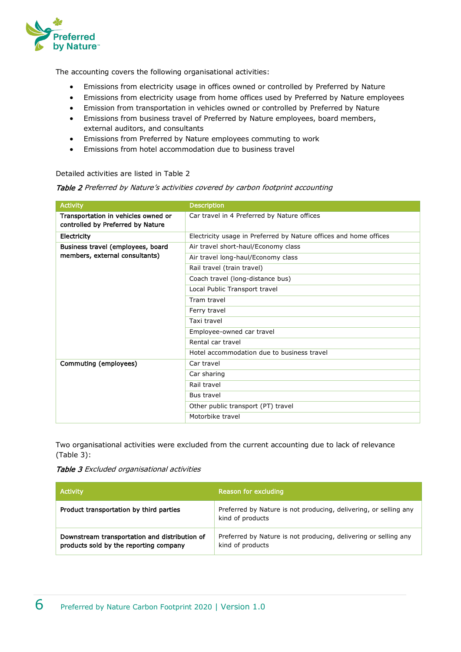

The accounting covers the following organisational activities:

- Emissions from electricity usage in offices owned or controlled by Preferred by Nature
- Emissions from electricity usage from home offices used by Preferred by Nature employees
- Emission from transportation in vehicles owned or controlled by Preferred by Nature
- Emissions from business travel of Preferred by Nature employees, board members, external auditors, and consultants
- Emissions from Preferred by Nature employees commuting to work
- Emissions from hotel accommodation due to business travel

Detailed activities are listed in [Table 2](#page-5-0)

<span id="page-5-0"></span>Table 2 Preferred by Nature's activities covered by carbon footprint accounting

| <b>Activity</b>                                                          | <b>Description</b>                                                |
|--------------------------------------------------------------------------|-------------------------------------------------------------------|
| Transportation in vehicles owned or<br>controlled by Preferred by Nature | Car travel in 4 Preferred by Nature offices                       |
| Electricity                                                              | Electricity usage in Preferred by Nature offices and home offices |
| Business travel (employees, board                                        | Air travel short-haul/Economy class                               |
| members, external consultants)                                           | Air travel long-haul/Economy class                                |
|                                                                          | Rail travel (train travel)                                        |
|                                                                          | Coach travel (long-distance bus)                                  |
|                                                                          | Local Public Transport travel                                     |
|                                                                          | Tram travel                                                       |
|                                                                          | Ferry travel                                                      |
|                                                                          | Taxi travel                                                       |
|                                                                          | Employee-owned car travel                                         |
|                                                                          | Rental car travel                                                 |
|                                                                          | Hotel accommodation due to business travel                        |
| Commuting (employees)                                                    | Car travel                                                        |
|                                                                          | Car sharing                                                       |
|                                                                          | Rail travel                                                       |
|                                                                          | Bus travel                                                        |
|                                                                          | Other public transport (PT) travel                                |
|                                                                          | Motorbike travel                                                  |

Two organisational activities were excluded from the current accounting due to lack of relevance (Table 3):



| <b>Activity</b>                                                                         | Reason for excluding                                                                 |
|-----------------------------------------------------------------------------------------|--------------------------------------------------------------------------------------|
| Product transportation by third parties                                                 | Preferred by Nature is not producing, delivering, or selling any<br>kind of products |
| Downstream transportation and distribution of<br>products sold by the reporting company | Preferred by Nature is not producing, delivering or selling any<br>kind of products  |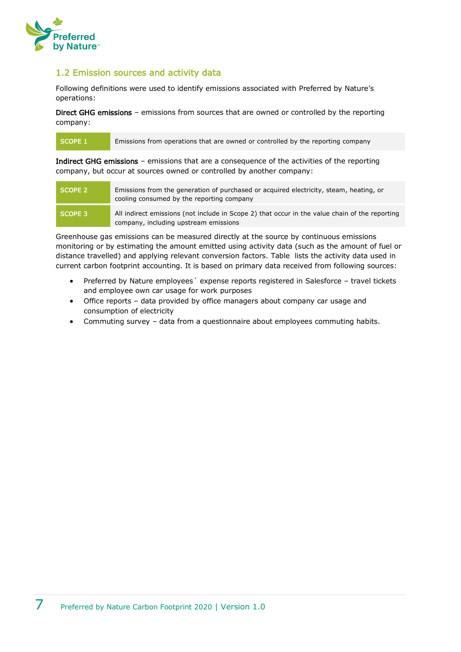

#### <span id="page-6-0"></span>1.2 Emission sources and activity data

Following definitions were used to identify emissions associated with Preferred by Nature's operations:

Direct GHG emissions – emissions from sources that are owned or controlled by the reporting company:

SCOPE 1 Emissions from operations that are owned or controlled by the reporting company

Indirect GHG emissions – emissions that are a consequence of the activities of the reporting company, but occur at sources owned or controlled by another company:

| SCOPE 2 | Emissions from the generation of purchased or acquired electricity, steam, heating, or<br>cooling consumed by the reporting company     |
|---------|-----------------------------------------------------------------------------------------------------------------------------------------|
| SCOPE 3 | All indirect emissions (not include in Scope 2) that occur in the value chain of the reporting<br>company, including upstream emissions |

Greenhouse gas emissions can be measured directly at the source by continuous emissions monitoring or by estimating the amount emitted using activity data (such as the amount of fuel or distance travelled) and applying relevant conversion factors. [Table](#page-7-0) lists the activity data used in current carbon footprint accounting. It is based on primary data received from following sources:

- Preferred by Nature employees´ expense reports registered in Salesforce travel tickets and employee own car usage for work purposes
- Office reports data provided by office managers about company car usage and consumption of electricity
- Commuting survey data from a questionnaire about employees commuting habits.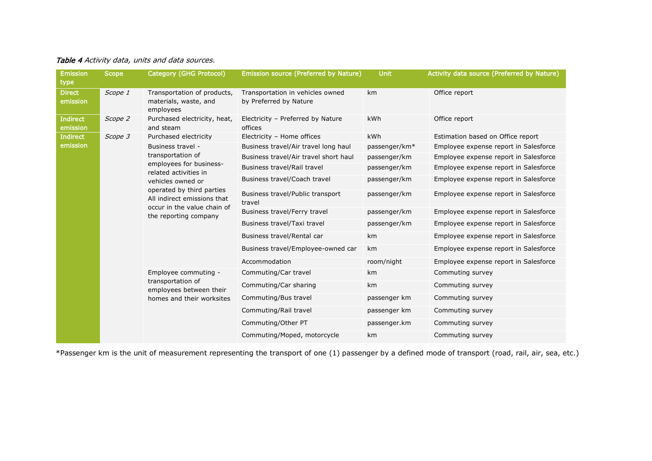| Table 4 Activity data, units and data sources. |  |  |
|------------------------------------------------|--|--|
|------------------------------------------------|--|--|

| <b>Emission</b>             | <b>Scope</b> | Category (GHG Protocol)                                                                                                                  | Emission source (Preferred by Nature)                      | <b>Unit</b>               | Activity data source (Preferred by Nature) |
|-----------------------------|--------------|------------------------------------------------------------------------------------------------------------------------------------------|------------------------------------------------------------|---------------------------|--------------------------------------------|
| type                        |              |                                                                                                                                          |                                                            |                           |                                            |
| <b>Direct</b><br>emission   | Scope 1      | Transportation of products,<br>materials, waste, and<br>employees                                                                        | Transportation in vehicles owned<br>by Preferred by Nature | km                        | Office report                              |
| <b>Indirect</b><br>emission | Scope 2      | Purchased electricity, heat,<br>and steam                                                                                                | Electricity - Preferred by Nature<br>offices               | kWh                       | Office report                              |
| <b>Indirect</b>             | Scope 3      | Purchased electricity                                                                                                                    | Electricity - Home offices                                 | <b>kWh</b>                | Estimation based on Office report          |
| emission                    |              | Business travel -                                                                                                                        | Business travel/Air travel long haul                       | passenger/km <sup>*</sup> | Employee expense report in Salesforce      |
|                             |              | transportation of                                                                                                                        | Business travel/Air travel short haul                      | passenger/km              | Employee expense report in Salesforce      |
|                             |              | employees for business-<br>related activities in                                                                                         | Business travel/Rail travel                                | passenger/km              | Employee expense report in Salesforce      |
|                             |              | vehicles owned or                                                                                                                        | Business travel/Coach travel                               | passenger/km              | Employee expense report in Salesforce      |
|                             |              | operated by third parties<br>All indirect emissions that<br>occur in the value chain of<br>the reporting company<br>Employee commuting - | Business travel/Public transport<br>travel                 | passenger/km              | Employee expense report in Salesforce      |
|                             |              |                                                                                                                                          | Business travel/Ferry travel                               | passenger/km              | Employee expense report in Salesforce      |
|                             |              |                                                                                                                                          | Business travel/Taxi travel                                | passenger/km              | Employee expense report in Salesforce      |
|                             |              |                                                                                                                                          | Business travel/Rental car                                 | km                        | Employee expense report in Salesforce      |
|                             |              |                                                                                                                                          | Business travel/Employee-owned car                         | km                        | Employee expense report in Salesforce      |
|                             |              |                                                                                                                                          | Accommodation                                              | room/night                | Employee expense report in Salesforce      |
|                             |              |                                                                                                                                          | Commuting/Car travel                                       | km                        | Commuting survey                           |
|                             |              | transportation of<br>employees between their                                                                                             | Commuting/Car sharing                                      | km                        | Commuting survey                           |
|                             |              | homes and their worksites                                                                                                                | Commuting/Bus travel                                       | passenger km              | Commuting survey                           |
|                             |              |                                                                                                                                          | Commuting/Rail travel                                      | passenger km              | Commuting survey                           |
|                             |              |                                                                                                                                          | Commuting/Other PT                                         | passenger.km              | Commuting survey                           |
|                             |              | Commuting/Moped, motorcycle                                                                                                              | km                                                         | Commuting survey          |                                            |

<span id="page-7-0"></span>\*Passenger km is the unit of measurement representing the transport of one (1) passenger by a defined mode of transport (road, rail, air, sea, etc.)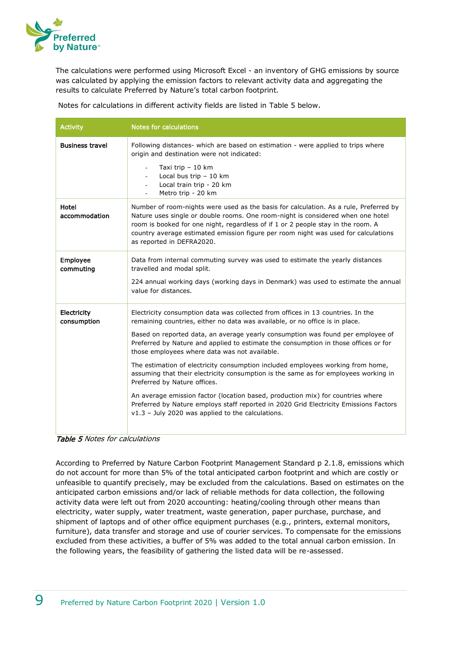

The calculations were performed using Microsoft Excel - an inventory of GHG emissions by source was calculated by applying the emission factors to relevant activity data and aggregating the results to calculate Preferred by Nature's total carbon footprint.

Notes for calculations in different activity fields are listed in Table 5 below.

| <b>Activity</b>              | <b>Notes for calculations</b>                                                                                                                                                                                                                                                                                                                                                   |
|------------------------------|---------------------------------------------------------------------------------------------------------------------------------------------------------------------------------------------------------------------------------------------------------------------------------------------------------------------------------------------------------------------------------|
| <b>Business travel</b>       | Following distances- which are based on estimation - were applied to trips where<br>origin and destination were not indicated:                                                                                                                                                                                                                                                  |
|                              | Taxi trip - 10 km<br>Local bus trip $-10$ km<br>$\sim$<br>Local train trip - 20 km<br>Metro trip - 20 km                                                                                                                                                                                                                                                                        |
| Hotel<br>accommodation       | Number of room-nights were used as the basis for calculation. As a rule, Preferred by<br>Nature uses single or double rooms. One room-night is considered when one hotel<br>room is booked for one night, regardless of if 1 or 2 people stay in the room. A<br>country average estimated emission figure per room night was used for calculations<br>as reported in DEFRA2020. |
| <b>Employee</b><br>commuting | Data from internal commuting survey was used to estimate the yearly distances<br>travelled and modal split.                                                                                                                                                                                                                                                                     |
|                              | 224 annual working days (working days in Denmark) was used to estimate the annual<br>value for distances.                                                                                                                                                                                                                                                                       |
| Electricity<br>consumption   | Electricity consumption data was collected from offices in 13 countries. In the<br>remaining countries, either no data was available, or no office is in place.                                                                                                                                                                                                                 |
|                              | Based on reported data, an average yearly consumption was found per employee of<br>Preferred by Nature and applied to estimate the consumption in those offices or for<br>those employees where data was not available.                                                                                                                                                         |
|                              | The estimation of electricity consumption included employees working from home,<br>assuming that their electricity consumption is the same as for employees working in<br>Preferred by Nature offices.                                                                                                                                                                          |
|                              | An average emission factor (location based, production mix) for countries where<br>Preferred by Nature employs staff reported in 2020 Grid Electricity Emissions Factors<br>$v1.3$ - July 2020 was applied to the calculations.                                                                                                                                                 |
|                              |                                                                                                                                                                                                                                                                                                                                                                                 |

Table 5 Notes for calculations

According to Preferred by Nature Carbon Footprint Management Standard p 2.1.8, emissions which do not account for more than 5% of the total anticipated carbon footprint and which are costly or unfeasible to quantify precisely, may be excluded from the calculations. Based on estimates on the anticipated carbon emissions and/or lack of reliable methods for data collection, the following activity data were left out from 2020 accounting: heating/cooling through other means than electricity, water supply, water treatment, waste generation, paper purchase, purchase, and shipment of laptops and of other office equipment purchases (e.g., printers, external monitors, furniture), data transfer and storage and use of courier services. To compensate for the emissions excluded from these activities, a buffer of 5% was added to the total annual carbon emission. In the following years, the feasibility of gathering the listed data will be re-assessed.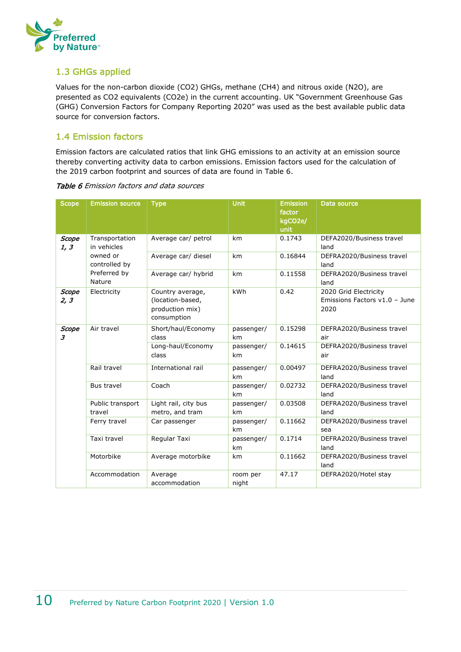

#### <span id="page-9-0"></span>1.3 GHGs applied

Values for the non-carbon dioxide (CO2) GHGs, methane (CH4) and nitrous oxide (N2O), are presented as CO2 equivalents (CO2e) in the current accounting. UK "Government Greenhouse Gas (GHG) Conversion Factors for Company Reporting 2020" was used as the best available public data source for conversion factors.

#### <span id="page-9-1"></span>1.4 Emission factors

Emission factors are calculated ratios that link GHG emissions to an activity at an emission source thereby converting activity data to carbon emissions. Emission factors used for the calculation of the 2019 carbon footprint and sources of data are found in Table 6.

| <b>Scope</b>         | <b>Emission source</b>        | <b>Type</b>                                                            | <b>Unit</b>       | <b>Emission</b><br>factor<br>kgCO2e/<br>unit | Data source                                                    |
|----------------------|-------------------------------|------------------------------------------------------------------------|-------------------|----------------------------------------------|----------------------------------------------------------------|
| Scope<br>1, 3        | Transportation<br>in vehicles | Average car/ petrol                                                    | km                | 0.1743                                       | DEFA2020/Business travel<br>land                               |
|                      | owned or<br>controlled by     | Average car/ diesel                                                    | km                | 0.16844                                      | DEFRA2020/Business travel<br>land                              |
|                      | Preferred by<br>Nature        | Average car/ hybrid                                                    | km                | 0.11558                                      | DEFRA2020/Business travel<br>land                              |
| <b>Scope</b><br>2, 3 | Electricity                   | Country average,<br>(location-based,<br>production mix)<br>consumption | kWh               | 0.42                                         | 2020 Grid Electricity<br>Emissions Factors v1.0 - June<br>2020 |
| Scope<br>3           | Air travel                    | Short/haul/Economy<br>class                                            | passenger/<br>km  | 0.15298                                      | DEFRA2020/Business travel<br>air                               |
|                      |                               | Long-haul/Economy<br>class                                             | passenger/<br>km  | 0.14615                                      | DEFRA2020/Business travel<br>air                               |
|                      | Rail travel                   | International rail                                                     | passenger/<br>km  | 0.00497                                      | DEFRA2020/Business travel<br>land                              |
|                      | <b>Bus travel</b>             | Coach                                                                  | passenger/<br>km  | 0.02732                                      | DEFRA2020/Business travel<br>land                              |
|                      | Public transport<br>travel    | Light rail, city bus<br>metro, and tram                                | passenger/<br>km  | 0.03508                                      | DEFRA2020/Business travel<br>land                              |
|                      | Ferry travel                  | Car passenger                                                          | passenger/<br>km  | 0.11662                                      | DEFRA2020/Business travel<br>sea                               |
|                      | Taxi travel                   | Regular Taxi                                                           | passenger/<br>km  | 0.1714                                       | DEFRA2020/Business travel<br>land                              |
|                      | Motorbike                     | Average motorbike                                                      | km                | 0.11662                                      | DEFRA2020/Business travel<br>land                              |
|                      | Accommodation                 | Average<br>accommodation                                               | room per<br>night | 47.17                                        | DEFRA2020/Hotel stay                                           |

Table 6 Emission factors and data sources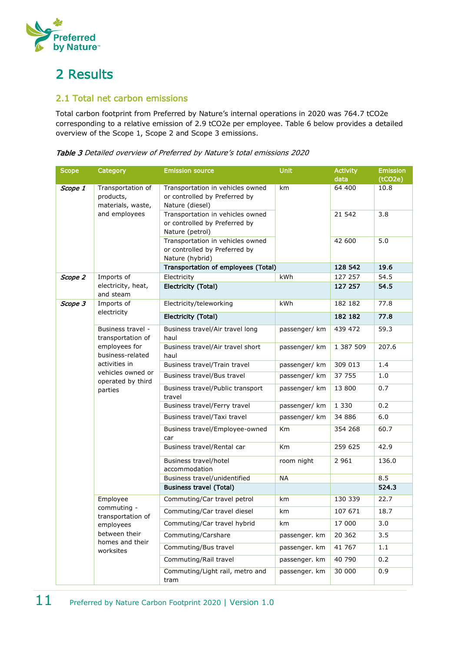

## <span id="page-10-0"></span>2 Results

#### <span id="page-10-1"></span>2.1 Total net carbon emissions

Total carbon footprint from Preferred by Nature's internal operations in 2020 was 764.7 tCO2e corresponding to a relative emission of 2.9 tCO2e per employee. Table 6 below provides a detailed overview of the Scope 1, Scope 2 and Scope 3 emissions.

Table 3 Detailed overview of Preferred by Nature's total emissions 2020

| <b>Scope</b> | Category                                                                                                                                          | <b>Emission source</b>                                                               | <b>Unit</b>   | <b>Activity</b><br>data | <b>Emission</b><br>(tCO2e) |
|--------------|---------------------------------------------------------------------------------------------------------------------------------------------------|--------------------------------------------------------------------------------------|---------------|-------------------------|----------------------------|
| Scope 1      | Transportation of<br>products,<br>materials, waste,<br>and employees                                                                              | Transportation in vehicles owned<br>or controlled by Preferred by<br>Nature (diesel) | km            | 64 400                  | 10.8                       |
|              |                                                                                                                                                   | Transportation in vehicles owned<br>or controlled by Preferred by<br>Nature (petrol) |               | 21 542                  | 3.8                        |
|              |                                                                                                                                                   | Transportation in vehicles owned<br>or controlled by Preferred by<br>Nature (hybrid) |               | 42 600                  | 5.0                        |
|              |                                                                                                                                                   | Transportation of employees (Total)                                                  |               | 128 542                 | 19.6                       |
| Scope 2      | Imports of                                                                                                                                        | Electricity                                                                          | kWh           | 127 257                 | 54.5                       |
|              | electricity, heat,<br>and steam                                                                                                                   | Electricity (Total)                                                                  |               | 127 257                 | 54.5                       |
| Scope 3      | Imports of                                                                                                                                        | Electricity/teleworking                                                              | kWh           | 182 182                 | 77.8                       |
|              | electricity                                                                                                                                       | Electricity (Total)                                                                  |               | 182 182                 | 77.8                       |
|              | Business travel -<br>transportation of<br>employees for<br>business-related<br>activities in<br>vehicles owned or<br>operated by third<br>parties | Business travel/Air travel long<br>haul                                              | passenger/ km | 439 472                 | 59.3                       |
|              |                                                                                                                                                   | Business travel/Air travel short<br>haul                                             | passenger/ km | 1 387 509               | 207.6                      |
|              |                                                                                                                                                   | Business travel/Train travel                                                         | passenger/ km | 309 013                 | 1.4                        |
|              |                                                                                                                                                   | Business travel/Bus travel                                                           | passenger/ km | 37 755                  | 1.0                        |
|              |                                                                                                                                                   | Business travel/Public transport<br>travel                                           | passenger/ km | 13 800                  | 0.7                        |
|              |                                                                                                                                                   | Business travel/Ferry travel                                                         | passenger/ km | 1 3 3 0                 | 0.2                        |
|              |                                                                                                                                                   | Business travel/Taxi travel                                                          | passenger/ km | 34 886                  | 6.0                        |
|              |                                                                                                                                                   | Business travel/Employee-owned<br>car                                                | Km            | 354 268                 | 60.7                       |
|              |                                                                                                                                                   | Business travel/Rental car                                                           | Km            | 259 625                 | 42.9                       |
|              |                                                                                                                                                   | Business travel/hotel<br>accommodation                                               | room night    | 2 9 6 1                 | 136.0                      |
|              |                                                                                                                                                   | Business travel/unidentified                                                         | <b>NA</b>     |                         | 8.5                        |
|              |                                                                                                                                                   | <b>Business travel (Total)</b>                                                       |               |                         | 524.3                      |
|              | Employee<br>commuting -                                                                                                                           | Commuting/Car travel petrol                                                          | km            | 130 339                 | 22.7                       |
|              | transportation of                                                                                                                                 | Commuting/Car travel diesel                                                          | km            | 107 671                 | 18.7                       |
|              | employees                                                                                                                                         | Commuting/Car travel hybrid                                                          | km            | 17 000                  | 3.0                        |
|              | between their<br>homes and their                                                                                                                  | Commuting/Carshare                                                                   | passenger. km | 20 362                  | 3.5                        |
|              | worksites                                                                                                                                         | Commuting/Bus travel                                                                 | passenger. km | 41 767                  | 1.1                        |
|              |                                                                                                                                                   | Commuting/Rail travel                                                                | passenger. km | 40 790                  | 0.2                        |
|              |                                                                                                                                                   | Commuting/Light rail, metro and<br>tram                                              | passenger. km | 30 000                  | 0.9                        |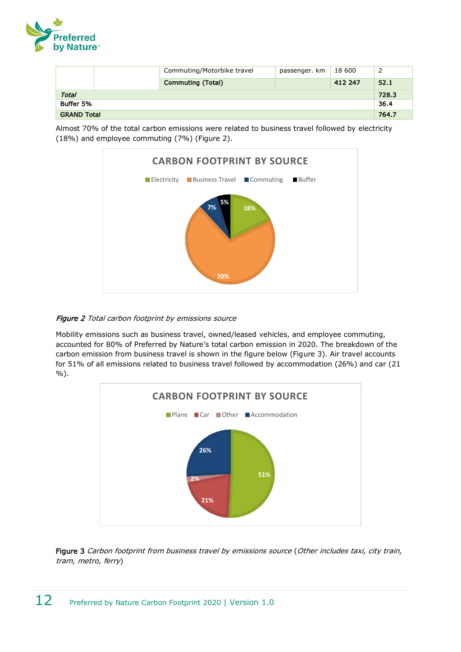

|                    |  | Commuting/Motorbike travel | passenger. km | 18 600  |       |
|--------------------|--|----------------------------|---------------|---------|-------|
|                    |  | <b>Commuting (Total)</b>   |               | 412 247 | 52.1  |
| <b>Total</b>       |  |                            |               |         | 728.3 |
| Buffer 5%          |  |                            |               |         | 36.4  |
| <b>GRAND Total</b> |  |                            |               | 764.7   |       |

Almost 70% of the total carbon emissions were related to business travel followed by electricity (18%) and employee commuting (7%) (Figure 2).



#### Figure 2 Total carbon footprint by emissions source

Mobility emissions such as business travel, owned/leased vehicles, and employee commuting, accounted for 80% of Preferred by Nature's total carbon emission in 2020. The breakdown of the carbon emission from business travel is shown in the figure below (Figure 3). Air travel accounts for 51% of all emissions related to business travel followed by accommodation (26%) and car (21 %).



Figure 3 Carbon footprint from business travel by emissions source (Other includes taxi, city train, tram, metro, ferry)